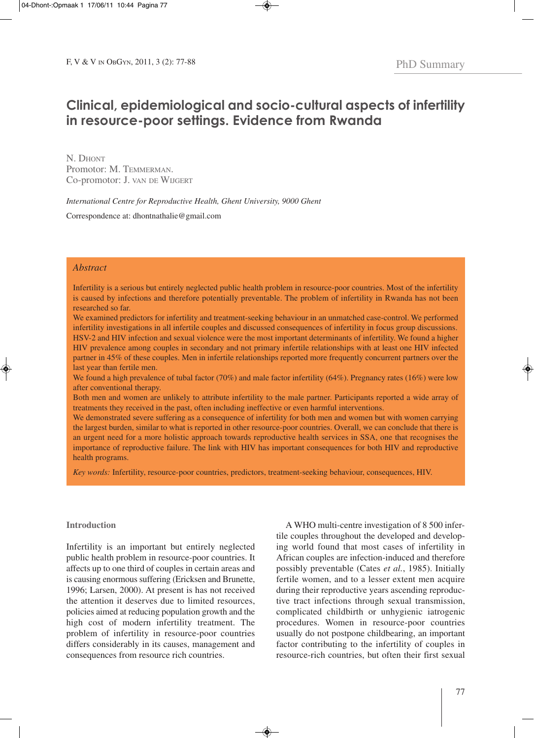# **Clinical, epidemiological and socio-cultural aspects of infertility in resource-poor settings. Evidence from Rwanda**

N. DHONT Promotor: M. TEMMERMAN. Co-promotor: J. VAN DE WIJGERT

*International Centre for Reproductive Health, Ghent University, 9000 Ghent*

Correspondence at: dhontnathalie@gmail.com

## *Abstract*

Infertility is a serious but entirely neglected public health problem in resource-poor countries. Most of the infertility is caused by infections and therefore potentially preventable. The problem of infertility in Rwanda has not been researched so far.

We examined predictors for infertility and treatment-seeking behaviour in an unmatched case-control. We performed infertility investigations in all infertile couples and discussed consequences of infertility in focus group discussions. HSV-2 and HIV infection and sexual violence were the most important determinants of infertility. We found a higher HIV prevalence among couples in secondary and not primary infertile relationships with at least one HIV infected partner in 45% of these couples. Men in infertile relationships reported more frequently concurrent partners over the last year than fertile men.

We found a high prevalence of tubal factor (70%) and male factor infertility (64%). Pregnancy rates (16%) were low after conventional therapy.

Both men and women are unlikely to attribute infertility to the male partner. Participants reported a wide array of treatments they received in the past, often including ineffective or even harmful interventions.

We demonstrated severe suffering as a consequence of infertility for both men and women but with women carrying the largest burden, similar to what is reported in other resource-poor countries. Overall, we can conclude that there is an urgent need for a more holistic approach towards reproductive health services in SSA, one that recognises the importance of reproductive failure. The link with HIV has important consequences for both HIV and reproductive health programs.

*Key words:* Infertility, resource-poor countries, predictors, treatment-seeking behaviour, consequences, HIV.

## **Introduction**

Infertility is an important but entirely neglected public health problem in resource-poor countries. It affects up to one third of couples in certain areas and is causing enormous suffering (Ericksen and Brunette, 1996; Larsen, 2000). At present is has not received the attention it deserves due to limited resources, policies aimed at reducing population growth and the high cost of modern infertility treatment. The problem of infertility in resource-poor countries differs considerably in its causes, management and consequences from resource rich countries.

A WHO multi-centre investigation of 8 500 infertile couples throughout the developed and developing world found that most cases of infertility in African couples are infection-induced and therefore possibly preventable (Cates *et al.*, 1985). Initially fertile women, and to a lesser extent men acquire during their reproductive years ascending reproductive tract infections through sexual transmission, complicated childbirth or unhygienic iatrogenic procedures. Women in resource-poor countries usually do not postpone childbearing, an important factor contributing to the infertility of couples in resource-rich countries, but often their first sexual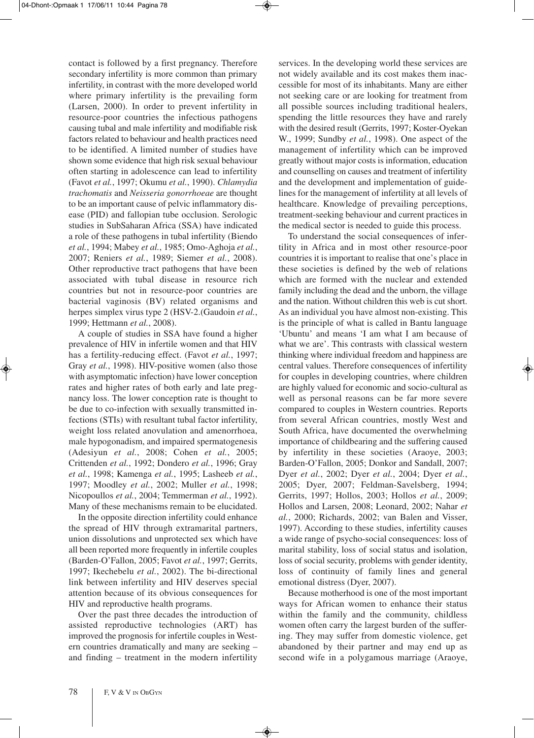contact is followed by a first pregnancy. Therefore secondary infertility is more common than primary infertility, in contrast with the more developed world where primary infertility is the prevailing form (Larsen, 2000). In order to prevent infertility in resource-poor countries the infectious pathogens causing tubal and male infertility and modifiable risk factors related to behaviour and health practices need to be identified. A limited number of studies have shown some evidence that high risk sexual behaviour often starting in adolescence can lead to infertility (Favot *et al.*, 1997; Okumu *et al.*, 1990). *Chlamydia trachomatis* and *Neisseria gonorrhoeae* are thought to be an important cause of pelvic inflammatory disease (PID) and fallopian tube occlusion. Serologic studies in SubSaharan Africa (SSA) have indicated a role of these pathogens in tubal infertility (Biendo *et al.*, 1994; Mabey *et al.*, 1985; Omo-Aghoja *et al.*, 2007; Reniers *et al.*, 1989; Siemer *et al.*, 2008). Other reproductive tract pathogens that have been associated with tubal disease in resource rich countries but not in resource-poor countries are bacterial vaginosis (BV) related organisms and herpes simplex virus type 2 (HSV-2.(Gaudoin *et al.*, 1999; Hettmann *et al.*, 2008).

A couple of studies in SSA have found a higher prevalence of HIV in infertile women and that HIV has a fertility-reducing effect. (Favot *et al.*, 1997; Gray *et al.*, 1998). HIV-positive women (also those with asymptomatic infection) have lower conception rates and higher rates of both early and late pregnancy loss. The lower conception rate is thought to be due to co-infection with sexually transmitted infections (STIs) with resultant tubal factor infertility, weight loss related anovulation and amenorrhoea, male hypogonadism, and impaired spermatogenesis (Adesiyun *et al.*, 2008; Cohen *et al.*, 2005; Crittenden *et al.*, 1992; Dondero *et al.*, 1996; Gray *et al.*, 1998; Kamenga *et al.*, 1995; Lasheeb *et al.*, 1997; Moodley *et al.*, 2002; Muller *et al.*, 1998; Nicopoullos *et al.*, 2004; Temmerman *et al.*, 1992). Many of these mechanisms remain to be elucidated.

In the opposite direction infertility could enhance the spread of HIV through extramarital partners, union dissolutions and unprotected sex which have all been reported more frequently in infertile couples (Barden-O'Fallon, 2005; Favot *et al.*, 1997; Gerrits, 1997; Ikechebelu *et al.*, 2002). The bi-directional link between infertility and HIV deserves special attention because of its obvious consequences for HIV and reproductive health programs.

Over the past three decades the introduction of assisted reproductive technologies (ART) has improved the prognosis for infertile couples in Western countries dramatically and many are seeking – and finding – treatment in the modern infertility

services. In the developing world these services are not widely available and its cost makes them inaccessible for most of its inhabitants. Many are either not seeking care or are looking for treatment from all possible sources including traditional healers, spending the little resources they have and rarely with the desired result (Gerrits, 1997; Koster-Oyekan W., 1999; Sundby *et al.*, 1998). One aspect of the management of infertility which can be improved greatly without major costs is information, education and counselling on causes and treatment of infertility and the development and implementation of guidelines for the management of infertility at all levels of healthcare. Knowledge of prevailing perceptions, treatment-seeking behaviour and current practices in the medical sector is needed to guide this process.

To understand the social consequences of infertility in Africa and in most other resource-poor countries it is important to realise that one's place in these societies is defined by the web of relations which are formed with the nuclear and extended family including the dead and the unborn, the village and the nation. Without children this web is cut short. As an individual you have almost non-existing. This is the principle of what is called in Bantu language 'Ubuntu' and means 'I am what I am because of what we are'. This contrasts with classical western thinking where individual freedom and happiness are central values. Therefore consequences of infertility for couples in developing countries, where children are highly valued for economic and socio-cultural as well as personal reasons can be far more severe compared to couples in Western countries. Reports from several African countries, mostly West and South Africa, have documented the overwhelming importance of childbearing and the suffering caused by infertility in these societies (Araoye, 2003; Barden-O'Fallon, 2005; Donkor and Sandall, 2007; Dyer *et al.*, 2002; Dyer *et al.*, 2004; Dyer *et al.*, 2005; Dyer, 2007; Feldman-Savelsberg, 1994; Gerrits, 1997; Hollos, 2003; Hollos *et al.*, 2009; Hollos and Larsen, 2008; Leonard, 2002; Nahar *et al.*, 2000; Richards, 2002; van Balen and Visser, 1997). According to these studies, infertility causes a wide range of psycho-social consequences: loss of marital stability, loss of social status and isolation, loss of social security, problems with gender identity, loss of continuity of family lines and general emotional distress (Dyer, 2007).

Because motherhood is one of the most important ways for African women to enhance their status within the family and the community, childless women often carry the largest burden of the suffering. They may suffer from domestic violence, get abandoned by their partner and may end up as second wife in a polygamous marriage (Araoye,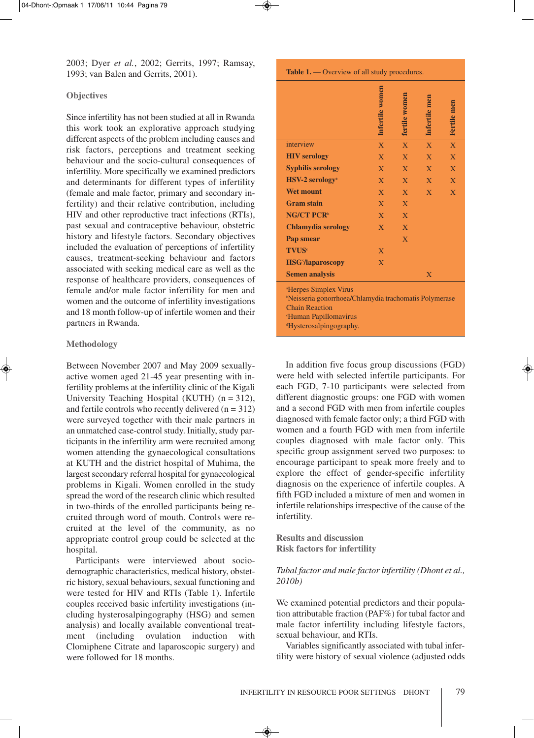2003; Dyer *et al.*, 2002; Gerrits, 1997; Ramsay, 1993; van Balen and Gerrits, 2001).

## **Objectives**

Since infertility has not been studied at all in Rwanda this work took an explorative approach studying different aspects of the problem including causes and risk factors, perceptions and treatment seeking behaviour and the socio-cultural consequences of infertility. More specifically we examined predictors and determinants for different types of infertility (female and male factor, primary and secondary infertility) and their relative contribution, including HIV and other reproductive tract infections (RTIs), past sexual and contraceptive behaviour, obstetric history and lifestyle factors. Secondary objectives included the evaluation of perceptions of infertility causes, treatment-seeking behaviour and factors associated with seeking medical care as well as the response of healthcare providers, consequences of female and/or male factor infertility for men and women and the outcome of infertility investigations and 18 month follow-up of infertile women and their partners in Rwanda.

### **Methodology**

Between November 2007 and May 2009 sexuallyactive women aged 21-45 year presenting with infertility problems at the infertility clinic of the Kigali University Teaching Hospital (KUTH)  $(n = 312)$ , and fertile controls who recently delivered  $(n = 312)$ were surveyed together with their male partners in an unmatched case-control study. Initially, study participants in the infertility arm were recruited among women attending the gynaecological consultations at KUTH and the district hospital of Muhima, the largest secondary referral hospital for gynaecological problems in Kigali. Women enrolled in the study spread the word of the research clinic which resulted in two-thirds of the enrolled participants being recruited through word of mouth. Controls were recruited at the level of the community, as no appropriate control group could be selected at the hospital.

Participants were interviewed about sociodemographic characteristics, medical history, obstetric history, sexual behaviours, sexual functioning and were tested for HIV and RTIs (Table 1). Infertile couples received basic infertility investigations (including hysterosalpingography (HSG) and semen analysis) and locally available conventional treatment (including ovulation induction with Clomiphene Citrate and laparoscopic surgery) and were followed for 18 months.

#### **Table 1.** — Overview of all study procedures.

|                                                                                                                                                                                                              | Infertile women | tertile women  | Infertile men  | Fertile men    |
|--------------------------------------------------------------------------------------------------------------------------------------------------------------------------------------------------------------|-----------------|----------------|----------------|----------------|
| interview                                                                                                                                                                                                    | $\overline{X}$  | $\overline{X}$ | $\overline{X}$ | $\overline{X}$ |
| <b>HIV</b> serology                                                                                                                                                                                          | $\overline{X}$  | $\overline{X}$ | $\overline{X}$ | $\overline{X}$ |
| <b>Syphilis serology</b>                                                                                                                                                                                     | X               | $\mathbf{X}$   | X              | $\overline{X}$ |
| <b>HSV-2</b> serology <sup>a</sup>                                                                                                                                                                           | $\mathbf{X}$    | X              | $\overline{X}$ | $\overline{X}$ |
| <b>Wet mount</b>                                                                                                                                                                                             | $\overline{X}$  | $\overline{X}$ | X              | $\overline{X}$ |
| <b>Gram stain</b>                                                                                                                                                                                            | $\mathbf{X}$    | $\overline{X}$ |                |                |
| <b>NG/CT PCR<sup>b</sup></b>                                                                                                                                                                                 | $\overline{X}$  | $\overline{X}$ |                |                |
| <b>Chlamydia serology</b>                                                                                                                                                                                    | $\overline{X}$  | $\overline{X}$ |                |                |
| Pap smear                                                                                                                                                                                                    |                 | $\overline{X}$ |                |                |
| <b>TVUS</b> <sup>c</sup>                                                                                                                                                                                     | X               |                |                |                |
| <b>HSG<sup>5</sup>/laparoscopy</b>                                                                                                                                                                           | $\overline{X}$  |                |                |                |
| <b>Semen analysis</b>                                                                                                                                                                                        |                 |                | $\overline{X}$ |                |
| <sup>a</sup> Herpes Simplex Virus<br><sup>b</sup> Neisseria gonorrhoea/Chlamydia trachomatis Polymerase<br><b>Chain Reaction</b><br><sup>e</sup> Human Papillomavirus<br><sup>d</sup> Hysterosalpingography. |                 |                |                |                |

In addition five focus group discussions (FGD) were held with selected infertile participants. For each FGD, 7-10 participants were selected from different diagnostic groups: one FGD with women and a second FGD with men from infertile couples diagnosed with female factor only; a third FGD with women and a fourth FGD with men from infertile couples diagnosed with male factor only. This specific group assignment served two purposes: to encourage participant to speak more freely and to explore the effect of gender-specific infertility diagnosis on the experience of infertile couples. A fifth FGD included a mixture of men and women in infertile relationships irrespective of the cause of the infertility.

**Results and discussion Risk factors for infertility**

## *Tubal factor and male factor infertility (Dhont et al., 2010b)*

We examined potential predictors and their population attributable fraction (PAF%) for tubal factor and male factor infertility including lifestyle factors, sexual behaviour, and RTIs.

Variables significantly associated with tubal infertility were history of sexual violence (adjusted odds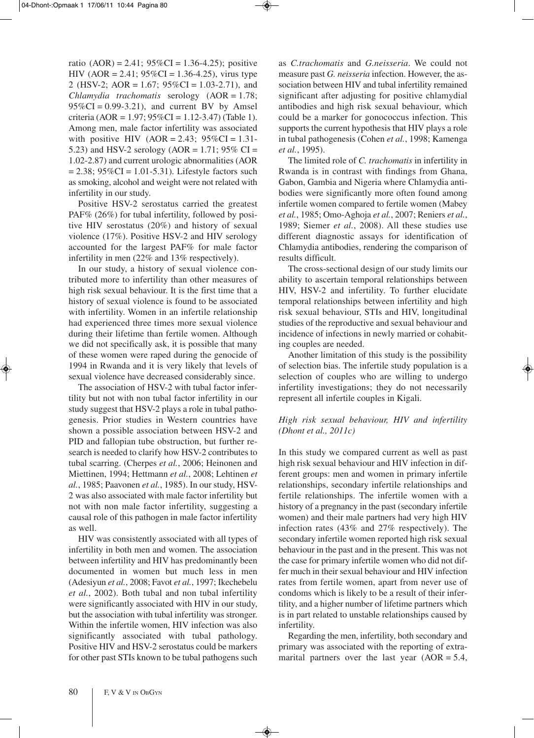ratio  $(AOR) = 2.41$ ;  $95\%CI = 1.36 - 4.25$ ; positive HIV (AOR = 2.41;  $95\%$ CI = 1.36-4.25), virus type 2 (HSV-2; AOR = 1.67;  $95\%CI = 1.03-2.71$ ), and *Chlamydia trachomatis* serology (AOR = 1.78;  $95\%CI = 0.99-3.21$ , and current BV by Amsel criteria (AOR = 1.97;  $95\%$ CI = 1.12-3.47) (Table 1). Among men, male factor infertility was associated with positive HIV (AOR = 2.43;  $95\%CI = 1.31$ -5.23) and HSV-2 serology (AOR = 1.71;  $95\%$  CI = 1.02-2.87) and current urologic abnormalities (AOR  $= 2.38$ ;  $95\%CI = 1.01 - 5.31$ ). Lifestyle factors such as smoking, alcohol and weight were not related with infertility in our study.

Positive HSV-2 serostatus carried the greatest PAF% (26%) for tubal infertility, followed by positive HIV serostatus (20%) and history of sexual violence (17%). Positive HSV-2 and HIV serology accounted for the largest PAF% for male factor infertility in men (22% and 13% respectively).

In our study, a history of sexual violence contributed more to infertility than other measures of high risk sexual behaviour. It is the first time that a history of sexual violence is found to be associated with infertility. Women in an infertile relationship had experienced three times more sexual violence during their lifetime than fertile women. Although we did not specifically ask, it is possible that many of these women were raped during the genocide of 1994 in Rwanda and it is very likely that levels of sexual violence have decreased considerably since.

The association of HSV-2 with tubal factor infertility but not with non tubal factor infertility in our study suggest that HSV-2 plays a role in tubal pathogenesis. Prior studies in Western countries have shown a possible association between HSV-2 and PID and fallopian tube obstruction, but further research is needed to clarify how HSV-2 contributes to tubal scarring. (Cherpes *et al.*, 2006; Heinonen and Miettinen, 1994; Hettmann *et al.*, 2008; Lehtinen *et al.*, 1985; Paavonen *et al.*, 1985). In our study, HSV-2 was also associated with male factor infertility but not with non male factor infertility, suggesting a causal role of this pathogen in male factor infertility as well.

HIV was consistently associated with all types of infertility in both men and women. The association between infertility and HIV has predominantly been documented in women but much less in men (Adesiyun *et al.*, 2008; Favot *et al.*, 1997; Ikechebelu *et al.*, 2002). Both tubal and non tubal infertility were significantly associated with HIV in our study, but the association with tubal infertility was stronger. Within the infertile women, HIV infection was also significantly associated with tubal pathology. Positive HIV and HSV-2 serostatus could be markers for other past STIs known to be tubal pathogens such

as *C.trachomatis* and *G.neisseria*. We could not measure past *G. neisseria* infection. However, the association between HIV and tubal infertility remained significant after adjusting for positive chlamydial antibodies and high risk sexual behaviour, which could be a marker for gonococcus infection. This supports the current hypothesis that HIV plays a role in tubal pathogenesis (Cohen *et al.*, 1998; Kamenga *et al.*, 1995).

The limited role of *C. trachomatis* in infertility in Rwanda is in contrast with findings from Ghana, Gabon, Gambia and Nigeria where Chlamydia antibodies were significantly more often found among infertile women compared to fertile women (Mabey *et al.*, 1985; Omo-Aghoja *et al.*, 2007; Reniers *et al.*, 1989; Siemer *et al.*, 2008). All these studies use different diagnostic assays for identification of Chlamydia antibodies, rendering the comparison of results difficult.

The cross-sectional design of our study limits our ability to ascertain temporal relationships between HIV, HSV-2 and infertility. To further elucidate temporal relationships between infertility and high risk sexual behaviour, STIs and HIV, longitudinal studies of the reproductive and sexual behaviour and incidence of infections in newly married or cohabiting couples are needed.

Another limitation of this study is the possibility of selection bias. The infertile study population is a selection of couples who are willing to undergo infertility investigations; they do not necessarily represent all infertile couples in Kigali.

## *High risk sexual behaviour, HIV and infertility (Dhont et al., 2011c)*

In this study we compared current as well as past high risk sexual behaviour and HIV infection in different groups: men and women in primary infertile relationships, secondary infertile relationships and fertile relationships. The infertile women with a history of a pregnancy in the past (secondary infertile women) and their male partners had very high HIV infection rates (43% and 27% respectively). The secondary infertile women reported high risk sexual behaviour in the past and in the present. This was not the case for primary infertile women who did not differ much in their sexual behaviour and HIV infection rates from fertile women, apart from never use of condoms which is likely to be a result of their infertility, and a higher number of lifetime partners which is in part related to unstable relationships caused by infertility.

Regarding the men, infertility, both secondary and primary was associated with the reporting of extramarital partners over the last year  $(AOR = 5.4,$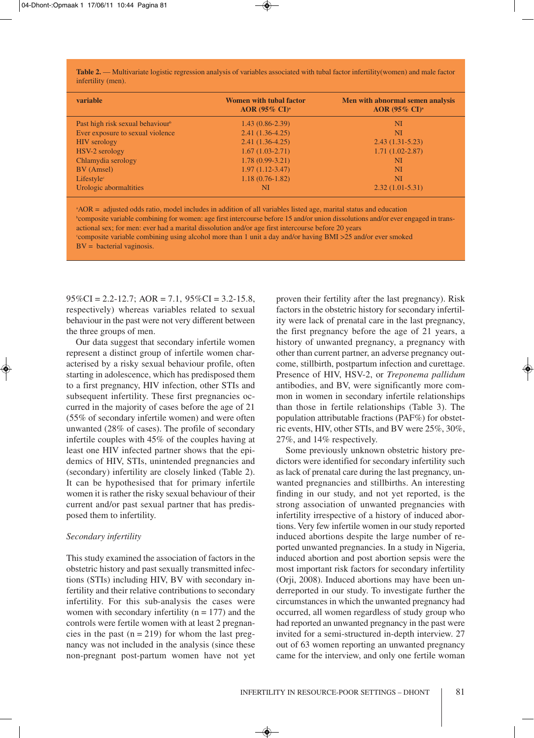**Table 2.** — Multivariate logistic regression analysis of variables associated with tubal factor infertility(women) and male factor infertility (men).

| variable                                     | <b>Women with tubal factor</b><br>AOR $(95\% \text{ CI})^{\text{a}}$ | Men with abnormal semen analysis<br>AOR (95% CI) <sup>a</sup> |
|----------------------------------------------|----------------------------------------------------------------------|---------------------------------------------------------------|
| Past high risk sexual behaviour <sup>b</sup> | $1.43(0.86-2.39)$                                                    | <b>NI</b>                                                     |
| Ever exposure to sexual violence             | $2.41(1.36-4.25)$                                                    | NI                                                            |
| <b>HIV</b> serology                          | $2.41(1.36-4.25)$                                                    | $2.43(1.31-5.23)$                                             |
| HSV-2 serology                               | $1.67(1.03-2.71)$                                                    | $1.71(1.02 - 2.87)$                                           |
| Chlamydia serology                           | $1.78(0.99-3.21)$                                                    | NI                                                            |
| BV (Amsel)                                   | $1.97(1.12 - 3.47)$                                                  | <b>NI</b>                                                     |
| Lifestyle <sup>c</sup>                       | $1.18(0.76-1.82)$                                                    | NI                                                            |
| Urologic abormaltities                       | NI                                                                   | $2.32(1.01-5.31)$                                             |

a AOR = adjusted odds ratio, model includes in addition of all variables listed age, marital status and education b composite variable combining for women: age first intercourse before 15 and/or union dissolutions and/or ever engaged in transactional sex; for men: ever had a marital dissolution and/or age first intercourse before 20 years c composite variable combining using alcohol more than 1 unit a day and/or having BMI >25 and/or ever smoked  $BV =$  bacterial vaginosis.

 $95\%CI = 2.2 - 12.7$ ; AOR = 7.1,  $95\%CI = 3.2 - 15.8$ , respectively) whereas variables related to sexual behaviour in the past were not very different between the three groups of men.

Our data suggest that secondary infertile women represent a distinct group of infertile women characterised by a risky sexual behaviour profile, often starting in adolescence, which has predisposed them to a first pregnancy, HIV infection, other STIs and subsequent infertility. These first pregnancies occurred in the majority of cases before the age of 21 (55% of secondary infertile women) and were often unwanted (28% of cases). The profile of secondary infertile couples with 45% of the couples having at least one HIV infected partner shows that the epidemics of HIV, STIs, unintended pregnancies and (secondary) infertility are closely linked (Table 2). It can be hypothesised that for primary infertile women it is rather the risky sexual behaviour of their current and/or past sexual partner that has predisposed them to infertility.

#### *Secondary infertility*

This study examined the association of factors in the obstetric history and past sexually transmitted infections (STIs) including HIV, BV with secondary infertility and their relative contributions to secondary infertility. For this sub-analysis the cases were women with secondary infertility  $(n = 177)$  and the controls were fertile women with at least 2 pregnancies in the past  $(n = 219)$  for whom the last pregnancy was not included in the analysis (since these non-pregnant post-partum women have not yet

proven their fertility after the last pregnancy). Risk factors in the obstetric history for secondary infertility were lack of prenatal care in the last pregnancy, the first pregnancy before the age of 21 years, a history of unwanted pregnancy, a pregnancy with other than current partner, an adverse pregnancy outcome, stillbirth, postpartum infection and curettage. Presence of HIV, HSV-2, or *Treponema pallidum* antibodies, and BV, were significantly more common in women in secondary infertile relationships than those in fertile relationships (Table 3). The population attributable fractions (PAF%) for obstetric events, HIV, other STIs, and BV were 25%, 30%, 27%, and 14% respectively.

Some previously unknown obstetric history predictors were identified for secondary infertility such as lack of prenatal care during the last pregnancy, unwanted pregnancies and stillbirths. An interesting finding in our study, and not yet reported, is the strong association of unwanted pregnancies with infertility irrespective of a history of induced abortions. Very few infertile women in our study reported induced abortions despite the large number of reported unwanted pregnancies. In a study in Nigeria, induced abortion and post abortion sepsis were the most important risk factors for secondary infertility (Orji, 2008). Induced abortions may have been underreported in our study. To investigate further the circumstances in which the unwanted pregnancy had occurred, all women regardless of study group who had reported an unwanted pregnancy in the past were invited for a semi-structured in-depth interview. 27 out of 63 women reporting an unwanted pregnancy came for the interview, and only one fertile woman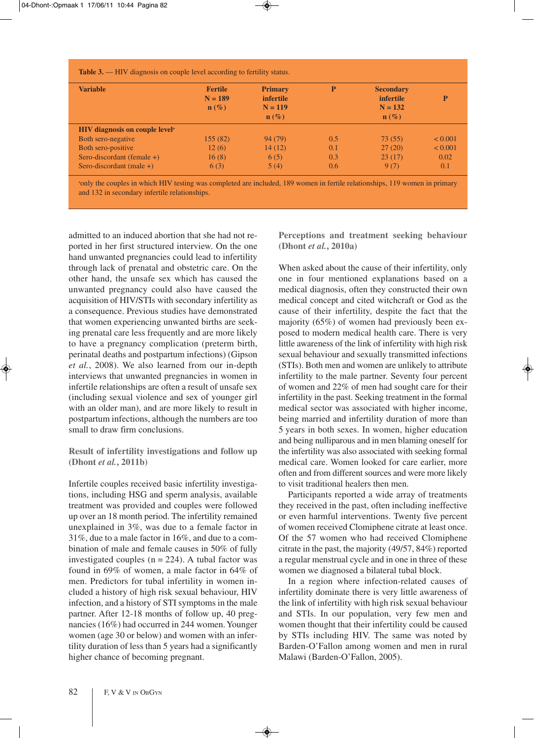| <b>Variable</b>                                   | <b>Fertile</b><br>$N = 189$<br>$\mathbf{n}(\%)$ | <b>Primary</b><br><i>infertile</i><br>$N = 119$<br>$\mathbf{n}(\%)$ | P   | <b>Secondary</b><br><i>infertile</i><br>$N = 132$<br>$\mathbf{n}(\%)$ | P            |
|---------------------------------------------------|-------------------------------------------------|---------------------------------------------------------------------|-----|-----------------------------------------------------------------------|--------------|
| <b>HIV</b> diagnosis on couple level <sup>a</sup> |                                                 |                                                                     |     |                                                                       |              |
| Both sero-negative                                | 155(82)                                         | 94 (79)                                                             | 0.5 | 73(55)                                                                | ${}_{0.001}$ |
| Both sero-positive                                | 12(6)                                           | 14(12)                                                              | 0.1 | 27(20)                                                                | ${}_{0.001}$ |
| Sero-discordant (female $+)$                      | 16(8)                                           | 6(5)                                                                | 0.3 | 23(17)                                                                | 0.02         |
| Sero-discordant (male $+$ )                       | 6(3)                                            | 5(4)                                                                | 0.6 | 9(7)                                                                  | 0.1          |

a only the couples in which HIV testing was completed are included, 189 women in fertile relationships, 119 women in primary and 132 in secondary infertile relationships.

admitted to an induced abortion that she had not reported in her first structured interview. On the one hand unwanted pregnancies could lead to infertility through lack of prenatal and obstetric care. On the other hand, the unsafe sex which has caused the unwanted pregnancy could also have caused the acquisition of HIV/STIs with secondary infertility as a consequence. Previous studies have demonstrated that women experiencing unwanted births are seeking prenatal care less frequently and are more likely to have a pregnancy complication (preterm birth, perinatal deaths and postpartum infections) (Gipson *et al.*, 2008). We also learned from our in-depth interviews that unwanted pregnancies in women in infertile relationships are often a result of unsafe sex (including sexual violence and sex of younger girl with an older man), and are more likely to result in postpartum infections, although the numbers are too small to draw firm conclusions.

## **Result of infertility investigations and follow up (Dhont** *et al.***, 2011b)**

Infertile couples received basic infertility investigations, including HSG and sperm analysis, available treatment was provided and couples were followed up over an 18 month period. The infertility remained unexplained in 3%, was due to a female factor in 31%, due to a male factor in 16%, and due to a combination of male and female causes in 50% of fully investigated couples  $(n = 224)$ . A tubal factor was found in 69% of women, a male factor in 64% of men. Predictors for tubal infertility in women included a history of high risk sexual behaviour, HIV infection, and a history of STI symptoms in the male partner. After 12-18 months of follow up, 40 pregnancies (16%) had occurred in 244 women.Younger women (age 30 or below) and women with an infertility duration of less than 5 years had a significantly higher chance of becoming pregnant.

**Perceptions and treatment seeking behaviour (Dhont** *et al.***, 2010a)**

When asked about the cause of their infertility, only one in four mentioned explanations based on a medical diagnosis, often they constructed their own medical concept and cited witchcraft or God as the cause of their infertility, despite the fact that the majority (65%) of women had previously been exposed to modern medical health care. There is very little awareness of the link of infertility with high risk sexual behaviour and sexually transmitted infections (STIs). Both men and women are unlikely to attribute infertility to the male partner. Seventy four percent of women and 22% of men had sought care for their infertility in the past. Seeking treatment in the formal medical sector was associated with higher income, being married and infertility duration of more than 5 years in both sexes. In women, higher education and being nulliparous and in men blaming oneself for the infertility was also associated with seeking formal medical care. Women looked for care earlier, more often and from different sources and were more likely to visit traditional healers then men.

Participants reported a wide array of treatments they received in the past, often including ineffective or even harmful interventions. Twenty five percent of women received Clomiphene citrate at least once. Of the 57 women who had received Clomiphene citrate in the past, the majority (49/57, 84%) reported a regular menstrual cycle and in one in three of these women we diagnosed a bilateral tubal block.

In a region where infection-related causes of infertility dominate there is very little awareness of the link of infertility with high risk sexual behaviour and STIs. In our population, very few men and women thought that their infertility could be caused by STIs including HIV. The same was noted by Barden-O'Fallon among women and men in rural Malawi (Barden-O'Fallon, 2005).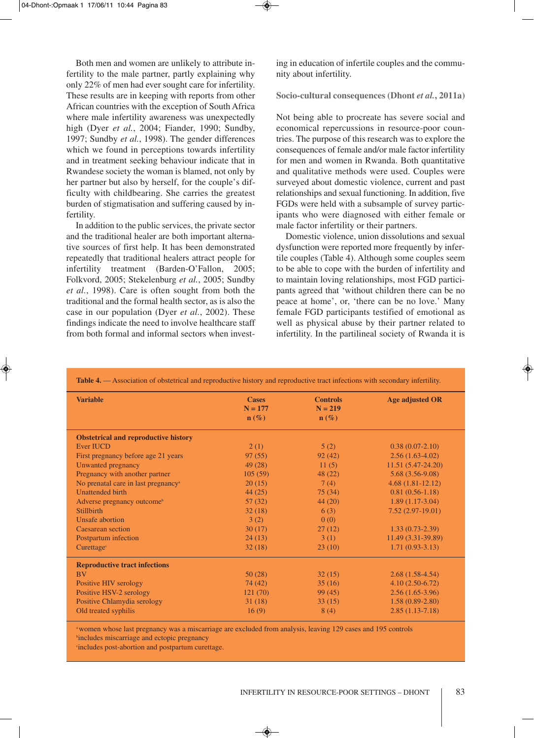Both men and women are unlikely to attribute infertility to the male partner, partly explaining why only 22% of men had ever sought care for infertility. These results are in keeping with reports from other African countries with the exception of South Africa where male infertility awareness was unexpectedly high (Dyer *et al.*, 2004; Fiander, 1990; Sundby, 1997; Sundby *et al.*, 1998). The gender differences which we found in perceptions towards infertility and in treatment seeking behaviour indicate that in Rwandese society the woman is blamed, not only by her partner but also by herself, for the couple's difficulty with childbearing. She carries the greatest burden of stigmatisation and suffering caused by infertility.

In addition to the public services, the private sector and the traditional healer are both important alternative sources of first help. It has been demonstrated repeatedly that traditional healers attract people for infertility treatment (Barden-O'Fallon, 2005; Folkvord, 2005; Stekelenburg *et al.*, 2005; Sundby *et al.*, 1998). Care is often sought from both the traditional and the formal health sector, as is also the case in our population (Dyer *et al.*, 2002). These findings indicate the need to involve healthcare staff from both formal and informal sectors when investing in education of infertile couples and the community about infertility.

**Socio-cultural consequences (Dhont** *et al.***, 2011a)**

Not being able to procreate has severe social and economical repercussions in resource-poor countries. The purpose of this research was to explore the consequences of female and/or male factor infertility for men and women in Rwanda. Both quantitative and qualitative methods were used. Couples were surveyed about domestic violence, current and past relationships and sexual functioning. In addition, five FGDs were held with a subsample of survey participants who were diagnosed with either female or male factor infertility or their partners.

Domestic violence, union dissolutions and sexual dysfunction were reported more frequently by infertile couples (Table 4). Although some couples seem to be able to cope with the burden of infertility and to maintain loving relationships, most FGD participants agreed that 'without children there can be no peace at home', or, 'there can be no love.' Many female FGD participants testified of emotional as well as physical abuse by their partner related to infertility. In the partilineal society of Rwanda it is

| <b>Variable</b>                                 | <b>Cases</b><br>$N = 177$<br>$\mathbf{n}(\%)$ | <b>Controls</b><br>$N = 219$<br>$\mathbf{n}(\%)$ | <b>Age adjusted OR</b> |
|-------------------------------------------------|-----------------------------------------------|--------------------------------------------------|------------------------|
| <b>Obstetrical and reproductive history</b>     |                                               |                                                  |                        |
| <b>Ever IUCD</b>                                | 2(1)                                          | 5(2)                                             | $0.38(0.07-2.10)$      |
| First pregnancy before age 21 years             | 97(55)                                        | 92(42)                                           | $2.56(1.63-4.02)$      |
| Unwanted pregnancy                              | 49(28)                                        | 11(5)                                            | $11.51(5.47-24.20)$    |
| Pregnancy with another partner                  | 105(59)                                       | 48(22)                                           | $5.68(3.56-9.08)$      |
| No prenatal care in last pregnancy <sup>a</sup> | 20(15)                                        | 7(4)                                             | $4.68(1.81-12.12)$     |
| <b>Unattended birth</b>                         | 44(25)                                        | 75(34)                                           | $0.81(0.56-1.18)$      |
| Adverse pregnancy outcome <sup>b</sup>          | 57(32)                                        | 44(20)                                           | $1.89(1.17-3.04)$      |
| <b>Stillbirth</b>                               | 32(18)                                        | 6(3)                                             | $7.52(2.97-19.01)$     |
| Unsafe abortion                                 | 3(2)                                          | 0(0)                                             |                        |
| Caesarean section                               | 30(17)                                        | 27(12)                                           | $1.33(0.73-2.39)$      |
| Postpartum infection                            | 24(13)                                        | 3(1)                                             | 11.49 (3.31-39.89)     |
| Curettage <sup>c</sup>                          | 32(18)                                        | 23(10)                                           | $1.71(0.93-3.13)$      |
| <b>Reproductive tract infections</b>            |                                               |                                                  |                        |
| <b>BV</b>                                       | 50(28)                                        | 32(15)                                           | $2.68(1.58-4.54)$      |
| Positive HIV serology                           | 74 (42)                                       | 35(16)                                           | $4.10(2.50-6.72)$      |
| Positive HSV-2 serology                         | 121(70)                                       | 99(45)                                           | $2.56(1.65-3.96)$      |
| Positive Chlamydia serology                     | 31(18)                                        | 33(15)                                           | $1.58(0.89-2.80)$      |
| Old treated syphilis                            | 16(9)                                         | 8(4)                                             | $2.85(1.13-7.18)$      |

**Table 4.** — Association of obstetrical and reproductive history and reproductive tract infections with secondary infertility.

awomen whose last pregnancy was a miscarriage are excluded from analysis, leaving 129 cases and 195 controls b includes miscarriage and ectopic pregnancy

c includes post-abortion and postpartum curettage.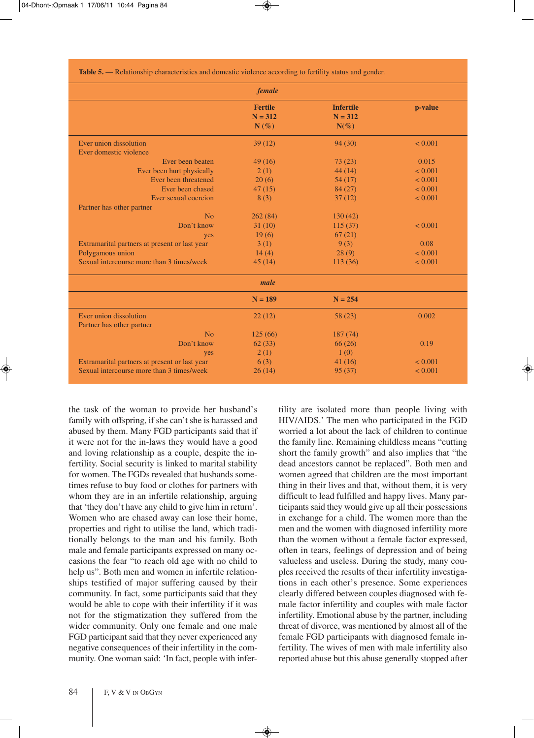**Table 5.** — Relationship characteristics and domestic violence according to fertility status and gender.

|                                               | female                                 |                                          |              |
|-----------------------------------------------|----------------------------------------|------------------------------------------|--------------|
|                                               | <b>Fertile</b><br>$N = 312$<br>$N(\%)$ | <b>Infertile</b><br>$N = 312$<br>$N(\%)$ | p-value      |
| Ever union dissolution                        | 39(12)                                 | 94(30)                                   | < 0.001      |
| Ever domestic violence                        |                                        |                                          |              |
| Ever been beaten                              | 49(16)                                 | 73(23)                                   | 0.015        |
| Ever been hurt physically                     | 2(1)                                   | 44(14)                                   | < 0.001      |
| Ever been threatened                          | 20(6)                                  | 54(17)                                   | < 0.001      |
| Ever been chased                              | 47(15)                                 | 84(27)                                   | < 0.001      |
| Ever sexual coercion                          | 8(3)                                   | 37(12)                                   | < 0.001      |
| Partner has other partner                     |                                        |                                          |              |
| N <sub>0</sub>                                | 262(84)                                | 130(42)                                  |              |
| Don't know                                    | 31(10)                                 | 115(37)                                  | < 0.001      |
| yes                                           | 19(6)                                  | 67(21)                                   |              |
| Extramarital partners at present or last year | 3(1)                                   | 9(3)                                     | 0.08         |
| Polygamous union                              | 14(4)                                  | 28(9)                                    | < 0.001      |
| Sexual intercourse more than 3 times/week     | 45(14)                                 | 113(36)                                  | < 0.001      |
|                                               | male                                   |                                          |              |
|                                               | $N = 189$                              | $N = 254$                                |              |
| Ever union dissolution                        | 22(12)                                 | 58 (23)                                  | 0.002        |
| Partner has other partner                     |                                        |                                          |              |
| No                                            | 125(66)                                | 187 (74)                                 |              |
| Don't know                                    | 62(33)                                 | 66(26)                                   | 0.19         |
| yes                                           | 2(1)                                   | 1(0)                                     |              |
| Extramarital partners at present or last year | 6(3)                                   | 41(16)                                   | < 0.001      |
| Sexual intercourse more than 3 times/week     | 26(14)                                 | 95(37)                                   | ${}_{0.001}$ |

the task of the woman to provide her husband's family with offspring, if she can't she is harassed and abused by them. Many FGD participants said that if it were not for the in-laws they would have a good and loving relationship as a couple, despite the infertility. Social security is linked to marital stability for women. The FGDs revealed that husbands sometimes refuse to buy food or clothes for partners with whom they are in an infertile relationship, arguing that 'they don't have any child to give him in return'. Women who are chased away can lose their home, properties and right to utilise the land, which traditionally belongs to the man and his family. Both male and female participants expressed on many occasions the fear "to reach old age with no child to help us". Both men and women in infertile relationships testified of major suffering caused by their community. In fact, some participants said that they would be able to cope with their infertility if it was not for the stigmatization they suffered from the wider community. Only one female and one male FGD participant said that they never experienced any negative consequences of their infertility in the community. One woman said: 'In fact, people with infertility are isolated more than people living with HIV/AIDS.' The men who participated in the FGD worried a lot about the lack of children to continue the family line. Remaining childless means "cutting short the family growth" and also implies that "the dead ancestors cannot be replaced". Both men and women agreed that children are the most important thing in their lives and that, without them, it is very difficult to lead fulfilled and happy lives. Many participants said they would give up all their possessions in exchange for a child. The women more than the men and the women with diagnosed infertility more than the women without a female factor expressed, often in tears, feelings of depression and of being valueless and useless. During the study, many couples received the results of their infertility investigations in each other's presence. Some experiences clearly differed between couples diagnosed with female factor infertility and couples with male factor infertility. Emotional abuse by the partner, including threat of divorce, was mentioned by almost all of the female FGD participants with diagnosed female infertility. The wives of men with male infertility also reported abuse but this abuse generally stopped after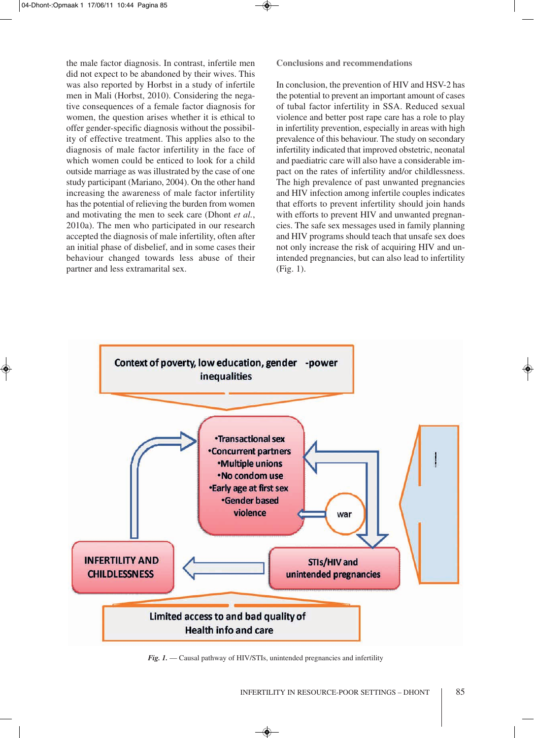the male factor diagnosis. In contrast, infertile men did not expect to be abandoned by their wives. This was also reported by Horbst in a study of infertile men in Mali (Horbst, 2010). Considering the negative consequences of a female factor diagnosis for women, the question arises whether it is ethical to offer gender-specific diagnosis without the possibility of effective treatment. This applies also to the diagnosis of male factor infertility in the face of which women could be enticed to look for a child outside marriage as was illustrated by the case of one study participant (Mariano, 2004). On the other hand increasing the awareness of male factor infertility has the potential of relieving the burden from women and motivating the men to seek care (Dhont *et al.*, 2010a). The men who participated in our research accepted the diagnosis of male infertility, often after an initial phase of disbelief, and in some cases their behaviour changed towards less abuse of their partner and less extramarital sex.

**Conclusions and recommendations**

In conclusion, the prevention of HIV and HSV-2 has the potential to prevent an important amount of cases of tubal factor infertility in SSA. Reduced sexual violence and better post rape care has a role to play in infertility prevention, especially in areas with high prevalence of this behaviour. The study on secondary infertility indicated that improved obstetric, neonatal and paediatric care will also have a considerable impact on the rates of infertility and/or childlessness. The high prevalence of past unwanted pregnancies and HIV infection among infertile couples indicates that efforts to prevent infertility should join hands with efforts to prevent HIV and unwanted pregnancies. The safe sex messages used in family planning and HIV programs should teach that unsafe sex does not only increase the risk of acquiring HIV and unintended pregnancies, but can also lead to infertility (Fig. 1).



*Fig. 1.* — Causal pathway of HIV/STIs, unintended pregnancies and infertility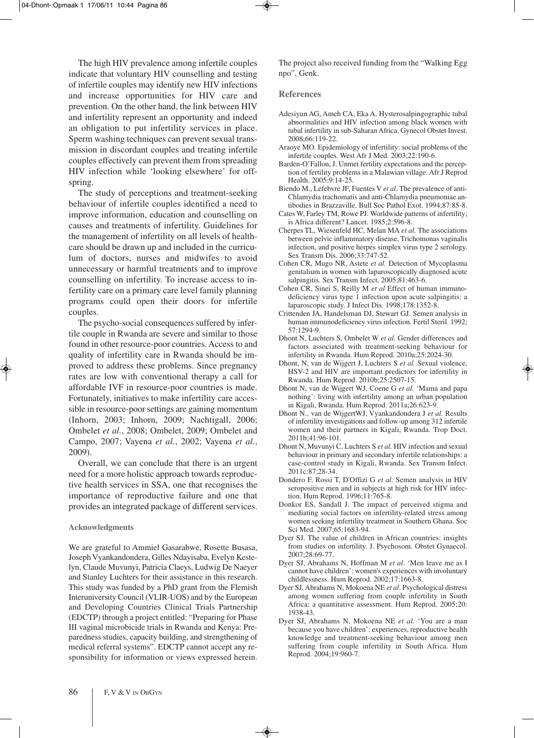The high HIV prevalence among infertile couples indicate that voluntary HIV counselling and testing of infertile couples may identify new HIV infections and increase opportunities for HIV care and prevention. On the other hand, the link between HIV and infertility represent an opportunity and indeed an obligation to put infertility services in place. Sperm washing techniques can prevent sexual transmission in discordant couples and treating infertile couples effectively can prevent them from spreading HIV infection while 'looking elsewhere' for offspring.

The study of perceptions and treatment-seeking behaviour of infertile couples identified a need to improve information, education and counselling on causes and treatments of infertility. Guidelines for the management of infertility on all levels of healthcare should be drawn up and included in the curriculum of doctors, nurses and midwifes to avoid unnecessary or harmful treatments and to improve counselling on infertility. To increase access to infertility care on a primary care level family planning programs could open their doors for infertile couples.

The psycho-social consequences suffered by infertile couple in Rwanda are severe and similar to those found in other resource-poor countries. Access to and quality of infertility care in Rwanda should be improved to address these problems. Since pregnancy rates are low with conventional therapy a call for affordable IVF in resource-poor countries is made. Fortunately, initiatives to make infertility care accessible in resource-poor settings are gaining momentum (Inhorn, 2003; Inhorn, 2009; Nachtigall, 2006; Ombelet *et al.*, 2008; Ombelet, 2009; Ombelet and Campo, 2007; Vayena *et al.*, 2002; Vayena *et al.*, 2009).

Overall, we can conclude that there is an urgent need for a more holistic approach towards reproductive health services in SSA, one that recognises the importance of reproductive failure and one that provides an integrated package of different services.

#### **Acknowledgments**

We are grateful to Ammiel Gasarabwe, Rosette Busasa, Joseph Vyankandondera, Gilles Ndayisaba, Evelyn Kestelyn, Claude Muvunyi, Patricia Claeys, Ludwig De Naeyer and Stanley Luchters for their assistance in this research. This study was funded by a PhD grant from the Flemish Interuniversity Council (VLIR-UOS) and by the European and Developing Countries Clinical Trials Partnership (EDCTP) through a project entitled: "Preparing for Phase III vaginal microbicide trials in Rwanda and Kenya: Preparedness studies, capacity building, and strengthening of medical referral systems". EDCTP cannot accept any responsibility for information or views expressed herein.

The project also received funding from the "Walking Egg npo", Genk.

#### **References**

- Adesiyun AG, Ameh CA, Eka A. Hysterosalpingographic tubal abnormalities and HIV infection among black women with tubal infertility in sub-Saharan Africa. Gynecol Obstet Invest. 2008;66:119-22.
- Araoye MO. Epidemiology of infertility: social problems of the infertile couples. West Afr J Med. 2003;22:190-6.
- Barden-O'Fallon, J. Unmet fertility expectations and the perception of fertility problems in a Malawian village. Afr J Reprod Health. 2005;9:14-25.
- Biendo M., Lefebvre JF, Fuentes V *et al*. The prevalence of anti-Chlamydia trachomatis and anti-Chlamydia pneumoniae antibodies in Brazzaville. Bull Soc Pathol Exot. 1994;87:85-8.
- Cates W, Farley TM, Rowe PJ. Worldwide patterns of infertility; is Africa different? Lancet. 1985;2:596-8.
- Cherpes TL, Wiesenfeld HC, Melan MA *et al.* The associations between pelvic inflammatory disease, Trichomonas vaginalis infection, and positive herpes simplex virus type 2 serology. Sex Transm Dis. 2006;33:747-52.
- Cohen CR, Mugo NR, Astete *et al.* Detection of Mycoplasma genitalium in women with laparoscopically diagnosed acute salpingitis. Sex Transm Infect. 2005;81:463-6.
- Cohen CR, Sinei S, Reilly M *et al* Effect of human immunodeficiency virus type 1 infection upon acute salpingitis: a laparoscopic study. J Infect Dis. 1998;178:1352-8.
- Crittenden JA, Handelsman DJ, Stewart GJ. Semen analysis in human immunodeficiency virus infection. Fertil Steril. 1992;  $57.1294-9$
- Dhont N, Luchters S, Ombelet W *et al.* Gender differences and factors associated with treatment-seeking behaviour for infertility in Rwanda. Hum Reprod. 2010a;25:2024-30.
- Dhont, N, van de Wijgert J, Luchters S *et al.* Sexual violence, HSV-2 and HIV are important predictors for infertility in Rwanda. Hum Reprod. 2010b;25:2507-15.
- Dhont N, van de Wijgert WJ, Coene G *et al.* 'Mama and papa nothing': living with infertility among an urban population in Kigali, Rwanda. Hum Reprod. 2011a;26:623-9.
- Dhont N., van de WijgertWJ, Vyankandondera J *et al.* Results of infertility investigations and follow-up among 312 infertile women and their partners in Kigali, Rwanda. Trop Doct. 2011b;41:96-101.
- Dhont N, Muvunyi C, Luchters S *et al.* HIV infection and sexual behaviour in primary and secondary infertile relationships: a case-control study in Kigali, Rwanda. Sex Transm Infect. 2011c:87;28-34.
- Dondero F, Rossi T, D'Offizi G *et al.* Semen analysis in HIV seropositive men and in subjects at high risk for HIV infection. Hum Reprod. 1996;11:765-8.
- Donkor ES, Sandall J. The impact of perceived stigma and mediating social factors on infertility-related stress among women seeking infertility treatment in Southern Ghana. Soc Sci Med. 2007;65:1683-94.
- Dyer SJ. The value of children in African countries: insights from studies on infertility. J. Psychosom. Obstet Gynaecol. 2007;28:69-77.
- Dyer SJ, Abrahams N, Hoffman M *et al*. 'Men leave me as I cannot have children': women's experiences with involuntary childlessness. Hum Reprod. 2002;17:1663-8.
- Dyer SJ, Abrahams N, Mokoena NE *et al*. Psychological distress among women suffering from couple infertility in South Africa: a quantitative assessment. Hum Reprod. 2005;20: 1938-43.
- Dyer SJ, Abrahams N, Mokoena NE *et al.* 'You are a man because you have children': experiences, reproductive health knowledge and treatment-seeking behaviour among men suffering from couple infertility in South Africa. Hum Reprod. 2004;19:960-7.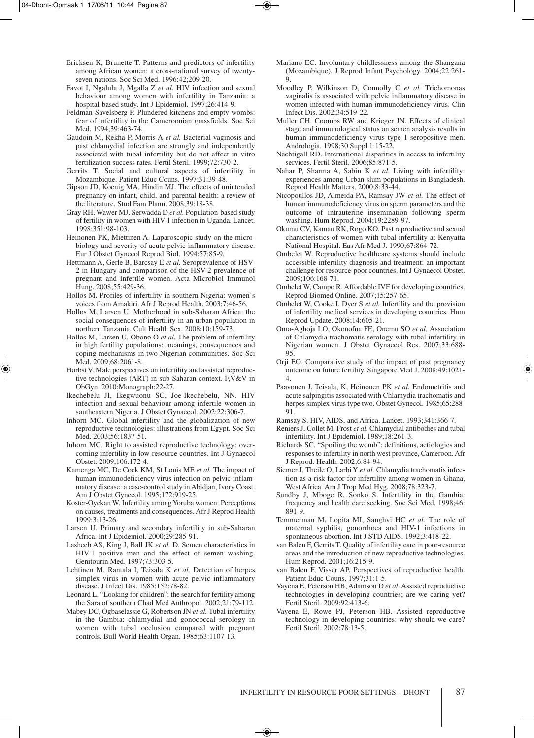- Ericksen K, Brunette T. Patterns and predictors of infertility among African women: a cross-national survey of twentyseven nations. Soc Sci Med. 1996:42;209-20.
- Favot I, Ngalula J, Mgalla Z *et al.* HIV infection and sexual behaviour among women with infertility in Tanzania: a hospital-based study. Int J Epidemiol. 1997;26:414-9.
- Feldman-Savelsberg P. Plundered kitchens and empty wombs: fear of infertility in the Cameroonian grassfields. Soc Sci Med. 1994;39:463-74.
- Gaudoin M, Rekha P, Morris A *et al.* Bacterial vaginosis and past chlamydial infection are strongly and independently associated with tubal infertility but do not affect in vitro fertilization success rates. Fertil Steril. 1999;72:730-2.
- Gerrits T. Social and cultural aspects of infertility in Mozambique. Patient Educ Couns. 1997;31:39-48.
- Gipson JD, Koenig MA, Hindin MJ. The effects of unintended pregnancy on infant, child, and parental health: a review of the literature. Stud Fam Plann. 2008;39:18-38.
- Gray RH, Wawer MJ, Serwadda D *et al.* Population-based study of fertility in women with HIV-1 infection in Uganda. Lancet. 1998;351:98-103.
- Heinonen PK, Miettinen A. Laparoscopic study on the microbiology and severity of acute pelvic inflammatory disease. Eur J Obstet Gynecol Reprod Biol. 1994;57:85-9.
- Hettmann A, Gerle B, Barcsay E *et al.* Seroprevalence of HSV-2 in Hungary and comparison of the HSV-2 prevalence of pregnant and infertile women. Acta Microbiol Immunol Hung. 2008;55:429-36.
- Hollos M. Profiles of infertility in southern Nigeria: women's voices from Amakiri. Afr J Reprod Health. 2003;7:46-56.
- Hollos M, Larsen U. Motherhood in sub-Saharan Africa: the social consequences of infertility in an urban population in northern Tanzania. Cult Health Sex. 2008;10:159-73.
- Hollos M, Larsen U, Obono O *et al.* The problem of infertility in high fertility populations; meanings, consequences and coping mechanisms in two Nigerian communities. Soc Sci Med. 2009;68:2061-8.
- Horbst V. Male perspectives on infertility and assisted reproductive technologies (ART) in sub-Saharan context. F,V&V in ObGyn. 2010;Monograph:22-27.
- Ikechebelu JI, Ikegwuonu SC, Joe-Ikechebelu, NN. HIV infection and sexual behaviour among infertile women in southeastern Nigeria. J Obstet Gynaecol. 2002;22:306-7.
- Inhorn MC. Global infertility and the globalization of new reproductive technologies: illustrations from Egypt. Soc Sci Med. 2003;56:1837-51.
- Inhorn MC. Right to assisted reproductive technology: overcoming infertility in low-resource countries. Int J Gynaecol Obstet. 2009;106:172-4.
- Kamenga MC, De Cock KM, St Louis ME *et al.* The impact of human immunodeficiency virus infection on pelvic inflammatory disease: a case-control study in Abidjan, Ivory Coast. Am J Obstet Gynecol. 1995;172:919-25.
- Koster-Oyekan W. Infertility amongYoruba women: Perceptions on causes, treatments and consequences. Afr J Reprod Health 1999:3;13-26.
- Larsen U. Primary and secondary infertility in sub-Saharan Africa. Int J Epidemiol. 2000;29:285-91.
- Lasheeb AS, King J, Ball JK *et al.* D. Semen characteristics in HIV-1 positive men and the effect of semen washing. Genitourin Med. 1997;73:303-5.
- Lehtinen M, Rantala I, Teisala K *et al.* Detection of herpes simplex virus in women with acute pelvic inflammatory disease. J Infect Dis. 1985;152:78-82.
- Leonard L. "Looking for children": the search for fertility among the Sara of southern Chad Med Anthropol. 2002;21:79-112.
- Mabey DC, Ogbaselassie G, Robertson JN *et al.* Tubal infertility in the Gambia: chlamydial and gonococcal serology in women with tubal occlusion compared with pregnant controls. Bull World Health Organ. 1985;63:1107-13.
- Mariano EC. Involuntary childlessness among the Shangana (Mozambique). J Reprod Infant Psychology. 2004;22:261- 9.
- Moodley P, Wilkinson D, Connolly C *et al.* Trichomonas vaginalis is associated with pelvic inflammatory disease in women infected with human immunodeficiency virus. Clin Infect Dis. 2002;34:519-22.
- Muller CH. Coombs RW and Krieger JN. Effects of clinical stage and immunological status on semen analysis results in human immunodeficiency virus type 1-seropositive men. Andrologia. 1998;30 Suppl 1:15-22.
- Nachtigall RD. International disparities in access to infertility services. Fertil Steril. 2006;85:871-5.
- Nahar P, Sharma A, Sabin K *et al.* Living with infertility: experiences among Urban slum populations in Bangladesh. Reprod Health Matters. 2000;8:33-44.
- Nicopoullos JD, Almeida PA, Ramsay JW *et al.* The effect of human immunodeficiency virus on sperm parameters and the outcome of intrauterine insemination following sperm washing. Hum Reprod. 2004;19:2289-97.
- Okumu CV, Kamau RK, Rogo KO. Past reproductive and sexual characteristics of women with tubal infertility at Kenyatta National Hospital. Eas Afr Med J. 1990;67:864-72.
- Ombelet W. Reproductive healthcare systems should include accessible infertility diagnosis and treatment: an important challenge for resource-poor countries. Int J Gynaecol Obstet. 2009;106:168-71.
- Ombelet W, Campo R. Affordable IVF for developing countries. Reprod Biomed Online. 2007;15:257-65.
- Ombelet W, Cooke I, Dyer S *et al.* Infertility and the provision of infertility medical services in developing countries. Hum Reprod Update. 2008;14:605-21.
- Omo-Aghoja LO, Okonofua FE, Onemu SO *et al.* Association of Chlamydia trachomatis serology with tubal infertility in Nigerian women. J Obstet Gynaecol Res. 2007;33:688-  $05$
- Orji EO. Comparative study of the impact of past pregnancy outcome on future fertility. Singapore Med J. 2008;49:1021- 4.
- Paavonen J, Teisala, K, Heinonen PK *et al.* Endometritis and acute salpingitis associated with Chlamydia trachomatis and herpes simplex virus type two. Obstet Gynecol. 1985;65:288- 91.
- Ramsay S. HIV, AIDS, and Africa. Lancet. 1993;341:366-7.
- Reniers J, Collet M, Frost *et al.* Chlamydial antibodies and tubal infertility. Int J Epidemiol. 1989;18:261-3.
- Richards SC. "Spoiling the womb": definitions, aetiologies and responses to infertility in north west province, Cameroon. Afr J Reprod. Health. 2002;6:84-94.
- Siemer J, Theile O, LarbiY *et al.* Chlamydia trachomatis infection as a risk factor for infertility among women in Ghana, West Africa. Am J Trop Med Hyg. 2008;78:323-7.
- Sundby J, Mboge R, Sonko S. Infertility in the Gambia: frequency and health care seeking. Soc Sci Med. 1998;46: 891-9.
- Temmerman M, Lopita MI, Sanghvi HC *et al.* The role of maternal syphilis, gonorrhoea and HIV-1 infections in spontaneous abortion. Int J STD AIDS. 1992;3:418-22.
- van Balen F, Gerrits T. Quality of infertility care in poor-resource areas and the introduction of new reproductive technologies. Hum Reprod. 2001;16:215-9.
- van Balen F, Visser AP. Perspectives of reproductive health. Patient Educ Couns. 1997;31:1-5.
- Vayena E, Peterson HB, Adamson D *et al*. Assisted reproductive technologies in developing countries; are we caring yet? Fertil Steril. 2009;92:413-6.
- Vayena E, Rowe PJ, Peterson HB. Assisted reproductive technology in developing countries: why should we care? Fertil Steril. 2002;78:13-5.